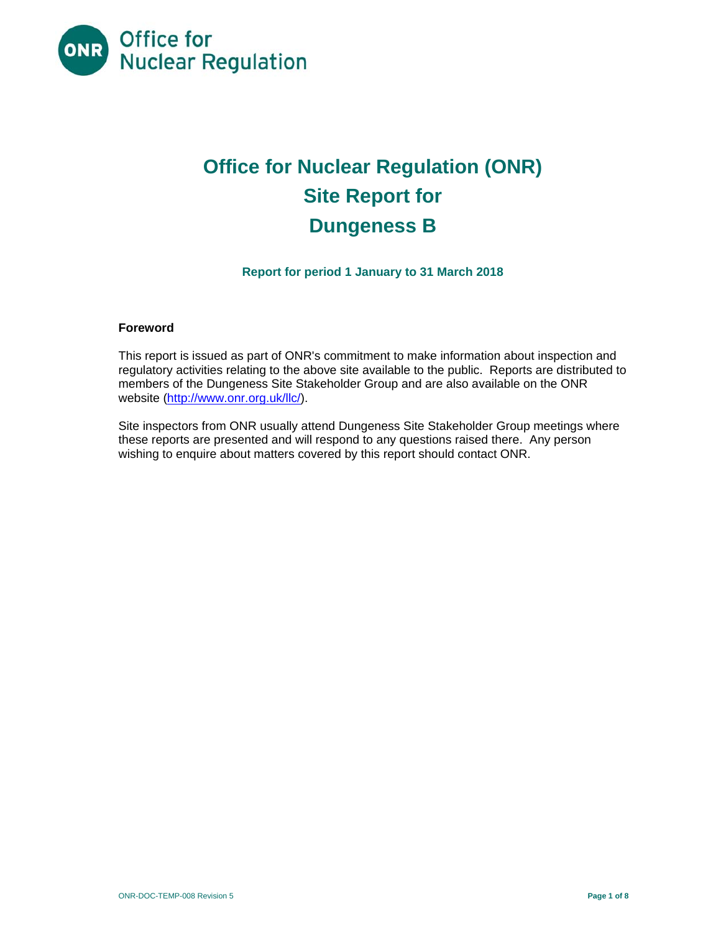

# **Office for Nuclear Regulation (ONR) Site Report for Dungeness B**

**Report for period 1 January to 31 March 2018** 

### **Foreword**

This report is issued as part of ONR's commitment to make information about inspection and regulatory activities relating to the above site available to the public. Reports are distributed to members of the Dungeness Site Stakeholder Group and are also available on the ONR website (http://www.onr.org.uk/llc/).

Site inspectors from ONR usually attend Dungeness Site Stakeholder Group meetings where these reports are presented and will respond to any questions raised there. Any person wishing to enquire about matters covered by this report should contact ONR.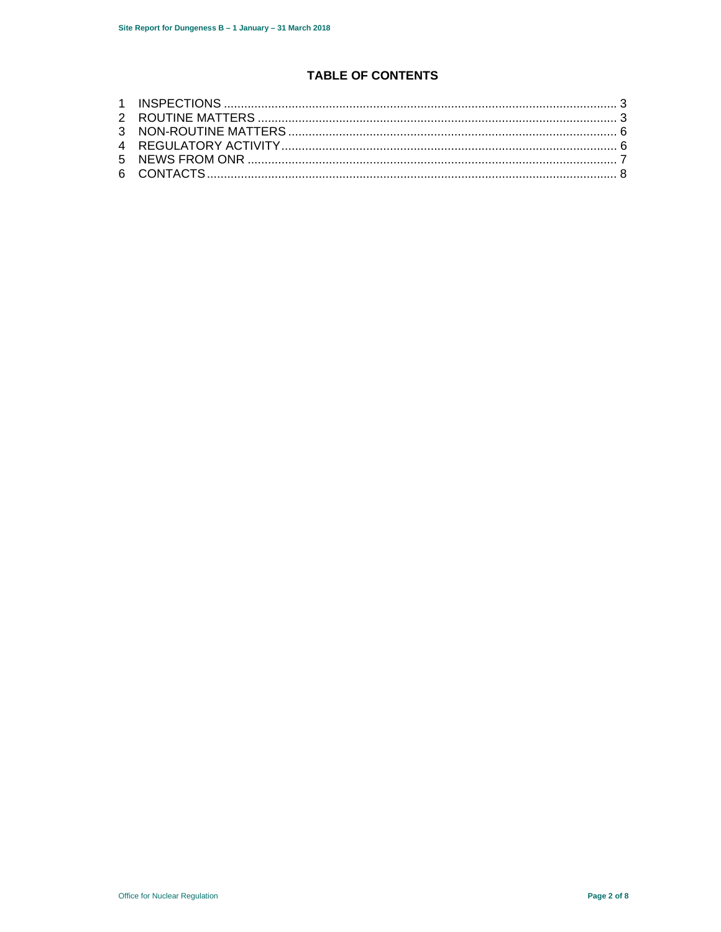# **TABLE OF CONTENTS**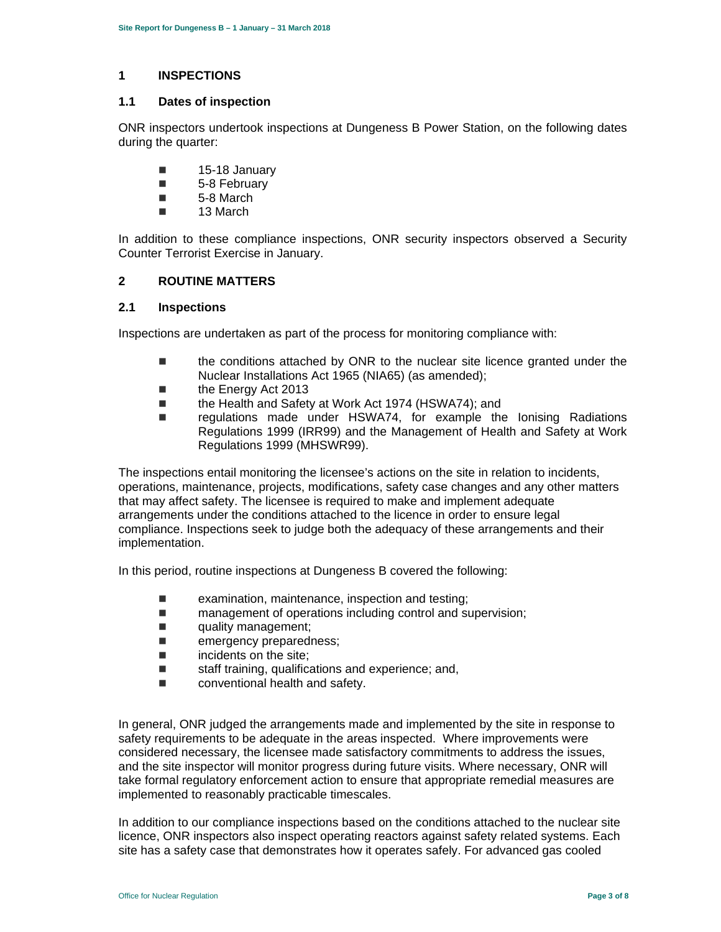#### **1 INSPECTIONS**

#### **1.1 Dates of inspection**

ONR inspectors undertook inspections at Dungeness B Power Station, on the following dates during the quarter:

- $\blacksquare$  15-18 January
- **5-8 February**
- 5-8 March
- 13 March

In addition to these compliance inspections, ONR security inspectors observed a Security Counter Terrorist Exercise in January.

#### **2 ROUTINE MATTERS**

#### **2.1 Inspections**

Inspections are undertaken as part of the process for monitoring compliance with:

- **the conditions attached by ONR to the nuclear site licence granted under the** Nuclear Installations Act 1965 (NIA65) (as amended);
- the Energy Act 2013
- the Health and Safety at Work Act 1974 (HSWA74); and
- regulations made under HSWA74, for example the Ionising Radiations Regulations 1999 (IRR99) and the Management of Health and Safety at Work Regulations 1999 (MHSWR99).

The inspections entail monitoring the licensee's actions on the site in relation to incidents, operations, maintenance, projects, modifications, safety case changes and any other matters that may affect safety. The licensee is required to make and implement adequate arrangements under the conditions attached to the licence in order to ensure legal compliance. Inspections seek to judge both the adequacy of these arrangements and their implementation.

In this period, routine inspections at Dungeness B covered the following:

- $\blacksquare$  examination, maintenance, inspection and testing;
- management of operations including control and supervision;
- quality management;
- **Example 20 mergency preparedness;**
- incidents on the site;
- $\blacksquare$  staff training, qualifications and experience; and,
- conventional health and safety.

In general, ONR judged the arrangements made and implemented by the site in response to safety requirements to be adequate in the areas inspected. Where improvements were considered necessary, the licensee made satisfactory commitments to address the issues, and the site inspector will monitor progress during future visits. Where necessary, ONR will take formal regulatory enforcement action to ensure that appropriate remedial measures are implemented to reasonably practicable timescales.

In addition to our compliance inspections based on the conditions attached to the nuclear site licence, ONR inspectors also inspect operating reactors against safety related systems. Each site has a safety case that demonstrates how it operates safely. For advanced gas cooled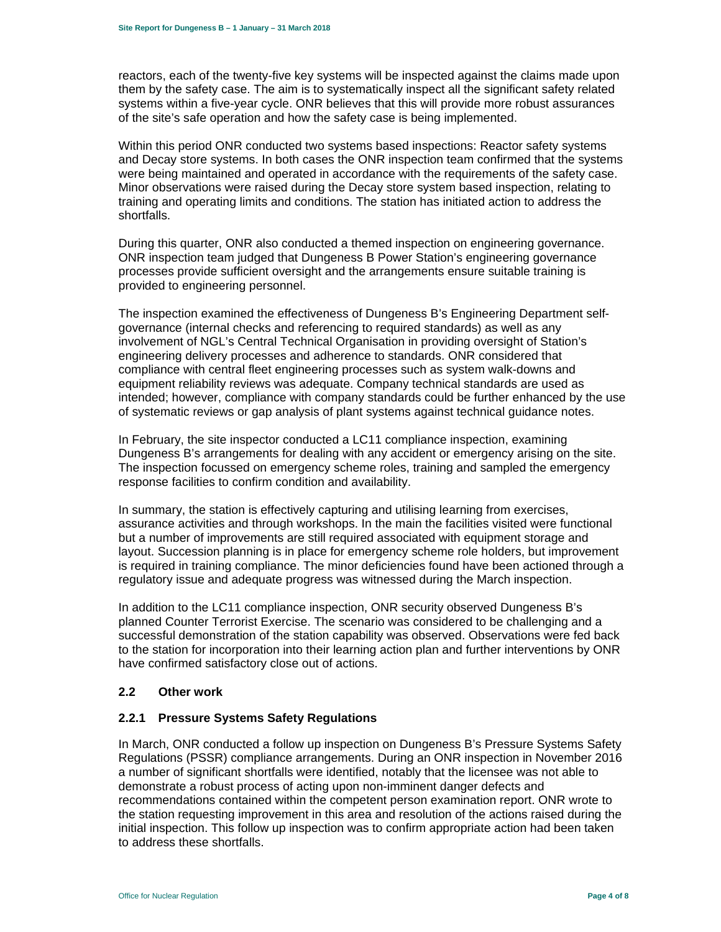reactors, each of the twenty-five key systems will be inspected against the claims made upon them by the safety case. The aim is to systematically inspect all the significant safety related systems within a five-year cycle. ONR believes that this will provide more robust assurances of the site's safe operation and how the safety case is being implemented.

Within this period ONR conducted two systems based inspections: Reactor safety systems and Decay store systems. In both cases the ONR inspection team confirmed that the systems were being maintained and operated in accordance with the requirements of the safety case. Minor observations were raised during the Decay store system based inspection, relating to training and operating limits and conditions. The station has initiated action to address the shortfalls.

During this quarter, ONR also conducted a themed inspection on engineering governance. ONR inspection team judged that Dungeness B Power Station's engineering governance processes provide sufficient oversight and the arrangements ensure suitable training is provided to engineering personnel.

The inspection examined the effectiveness of Dungeness B's Engineering Department selfgovernance (internal checks and referencing to required standards) as well as any involvement of NGL's Central Technical Organisation in providing oversight of Station's engineering delivery processes and adherence to standards. ONR considered that compliance with central fleet engineering processes such as system walk-downs and equipment reliability reviews was adequate. Company technical standards are used as intended; however, compliance with company standards could be further enhanced by the use of systematic reviews or gap analysis of plant systems against technical guidance notes.

In February, the site inspector conducted a LC11 compliance inspection, examining Dungeness B's arrangements for dealing with any accident or emergency arising on the site. The inspection focussed on emergency scheme roles, training and sampled the emergency response facilities to confirm condition and availability.

In summary, the station is effectively capturing and utilising learning from exercises, assurance activities and through workshops. In the main the facilities visited were functional but a number of improvements are still required associated with equipment storage and layout. Succession planning is in place for emergency scheme role holders, but improvement is required in training compliance. The minor deficiencies found have been actioned through a regulatory issue and adequate progress was witnessed during the March inspection.

In addition to the LC11 compliance inspection, ONR security observed Dungeness B's planned Counter Terrorist Exercise. The scenario was considered to be challenging and a successful demonstration of the station capability was observed. Observations were fed back to the station for incorporation into their learning action plan and further interventions by ONR have confirmed satisfactory close out of actions.

#### **2.2 Other work**

#### **2.2.1 Pressure Systems Safety Regulations**

In March, ONR conducted a follow up inspection on Dungeness B's Pressure Systems Safety Regulations (PSSR) compliance arrangements. During an ONR inspection in November 2016 a number of significant shortfalls were identified, notably that the licensee was not able to demonstrate a robust process of acting upon non-imminent danger defects and recommendations contained within the competent person examination report. ONR wrote to the station requesting improvement in this area and resolution of the actions raised during the initial inspection. This follow up inspection was to confirm appropriate action had been taken to address these shortfalls.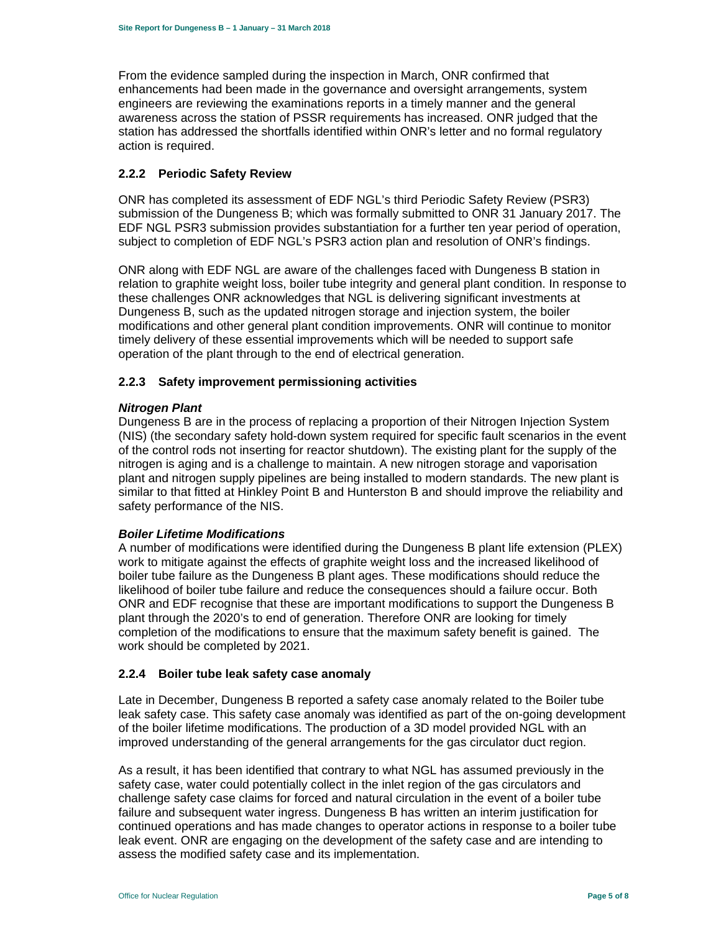From the evidence sampled during the inspection in March, ONR confirmed that enhancements had been made in the governance and oversight arrangements, system engineers are reviewing the examinations reports in a timely manner and the general awareness across the station of PSSR requirements has increased. ONR judged that the station has addressed the shortfalls identified within ONR's letter and no formal regulatory action is required.

#### **2.2.2 Periodic Safety Review**

ONR has completed its assessment of EDF NGL's third Periodic Safety Review (PSR3) submission of the Dungeness B; which was formally submitted to ONR 31 January 2017. The EDF NGL PSR3 submission provides substantiation for a further ten year period of operation, subject to completion of EDF NGL's PSR3 action plan and resolution of ONR's findings.

ONR along with EDF NGL are aware of the challenges faced with Dungeness B station in relation to graphite weight loss, boiler tube integrity and general plant condition. In response to these challenges ONR acknowledges that NGL is delivering significant investments at Dungeness B, such as the updated nitrogen storage and injection system, the boiler modifications and other general plant condition improvements. ONR will continue to monitor timely delivery of these essential improvements which will be needed to support safe operation of the plant through to the end of electrical generation.

### **2.2.3 Safety improvement permissioning activities**

#### *Nitrogen Plant*

Dungeness B are in the process of replacing a proportion of their Nitrogen Injection System (NIS) (the secondary safety hold-down system required for specific fault scenarios in the event of the control rods not inserting for reactor shutdown). The existing plant for the supply of the nitrogen is aging and is a challenge to maintain. A new nitrogen storage and vaporisation plant and nitrogen supply pipelines are being installed to modern standards. The new plant is similar to that fitted at Hinkley Point B and Hunterston B and should improve the reliability and safety performance of the NIS.

#### *Boiler Lifetime Modifications*

A number of modifications were identified during the Dungeness B plant life extension (PLEX) work to mitigate against the effects of graphite weight loss and the increased likelihood of boiler tube failure as the Dungeness B plant ages. These modifications should reduce the likelihood of boiler tube failure and reduce the consequences should a failure occur. Both ONR and EDF recognise that these are important modifications to support the Dungeness B plant through the 2020's to end of generation. Therefore ONR are looking for timely completion of the modifications to ensure that the maximum safety benefit is gained. The work should be completed by 2021.

#### **2.2.4 Boiler tube leak safety case anomaly**

Late in December, Dungeness B reported a safety case anomaly related to the Boiler tube leak safety case. This safety case anomaly was identified as part of the on-going development of the boiler lifetime modifications. The production of a 3D model provided NGL with an improved understanding of the general arrangements for the gas circulator duct region.

As a result, it has been identified that contrary to what NGL has assumed previously in the safety case, water could potentially collect in the inlet region of the gas circulators and challenge safety case claims for forced and natural circulation in the event of a boiler tube failure and subsequent water ingress. Dungeness B has written an interim justification for continued operations and has made changes to operator actions in response to a boiler tube leak event. ONR are engaging on the development of the safety case and are intending to assess the modified safety case and its implementation.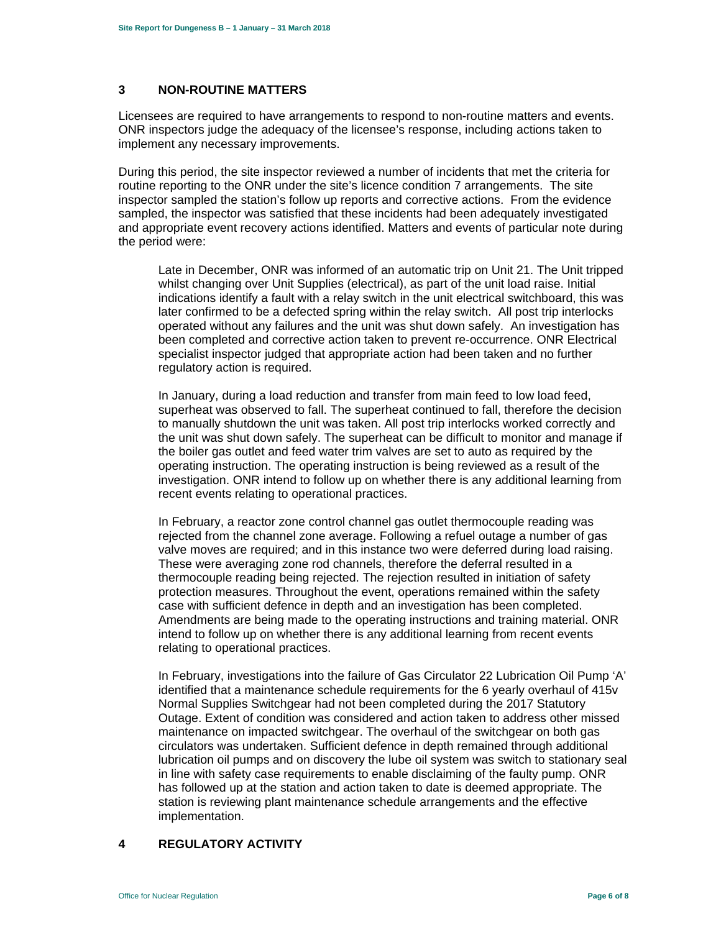#### **3 NON-ROUTINE MATTERS**

Licensees are required to have arrangements to respond to non-routine matters and events. ONR inspectors judge the adequacy of the licensee's response, including actions taken to implement any necessary improvements.

During this period, the site inspector reviewed a number of incidents that met the criteria for routine reporting to the ONR under the site's licence condition 7 arrangements. The site inspector sampled the station's follow up reports and corrective actions. From the evidence sampled, the inspector was satisfied that these incidents had been adequately investigated and appropriate event recovery actions identified. Matters and events of particular note during the period were:

Late in December, ONR was informed of an automatic trip on Unit 21. The Unit tripped whilst changing over Unit Supplies (electrical), as part of the unit load raise. Initial indications identify a fault with a relay switch in the unit electrical switchboard, this was later confirmed to be a defected spring within the relay switch. All post trip interlocks operated without any failures and the unit was shut down safely. An investigation has been completed and corrective action taken to prevent re-occurrence. ONR Electrical specialist inspector judged that appropriate action had been taken and no further regulatory action is required.

In January, during a load reduction and transfer from main feed to low load feed, superheat was observed to fall. The superheat continued to fall, therefore the decision to manually shutdown the unit was taken. All post trip interlocks worked correctly and the unit was shut down safely. The superheat can be difficult to monitor and manage if the boiler gas outlet and feed water trim valves are set to auto as required by the operating instruction. The operating instruction is being reviewed as a result of the investigation. ONR intend to follow up on whether there is any additional learning from recent events relating to operational practices.

In February, a reactor zone control channel gas outlet thermocouple reading was rejected from the channel zone average. Following a refuel outage a number of gas valve moves are required; and in this instance two were deferred during load raising. These were averaging zone rod channels, therefore the deferral resulted in a thermocouple reading being rejected. The rejection resulted in initiation of safety protection measures. Throughout the event, operations remained within the safety case with sufficient defence in depth and an investigation has been completed. Amendments are being made to the operating instructions and training material. ONR intend to follow up on whether there is any additional learning from recent events relating to operational practices.

In February, investigations into the failure of Gas Circulator 22 Lubrication Oil Pump 'A' identified that a maintenance schedule requirements for the 6 yearly overhaul of 415v Normal Supplies Switchgear had not been completed during the 2017 Statutory Outage. Extent of condition was considered and action taken to address other missed maintenance on impacted switchgear. The overhaul of the switchgear on both gas circulators was undertaken. Sufficient defence in depth remained through additional lubrication oil pumps and on discovery the lube oil system was switch to stationary seal in line with safety case requirements to enable disclaiming of the faulty pump. ONR has followed up at the station and action taken to date is deemed appropriate. The station is reviewing plant maintenance schedule arrangements and the effective implementation.

# **4 REGULATORY ACTIVITY**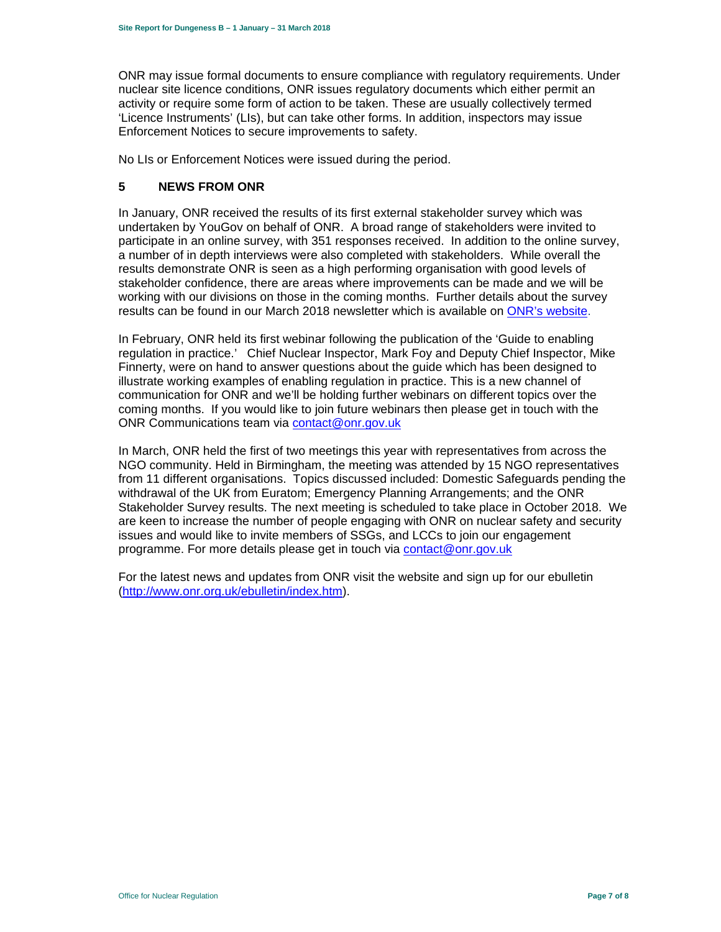ONR may issue formal documents to ensure compliance with regulatory requirements. Under nuclear site licence conditions, ONR issues regulatory documents which either permit an activity or require some form of action to be taken. These are usually collectively termed 'Licence Instruments' (LIs), but can take other forms. In addition, inspectors may issue Enforcement Notices to secure improvements to safety.

No LIs or Enforcement Notices were issued during the period.

### **5 NEWS FROM ONR**

In January, ONR received the results of its first external stakeholder survey which was undertaken by YouGov on behalf of ONR. A broad range of stakeholders were invited to participate in an online survey, with 351 responses received. In addition to the online survey, a number of in depth interviews were also completed with stakeholders. While overall the results demonstrate ONR is seen as a high performing organisation with good levels of stakeholder confidence, there are areas where improvements can be made and we will be working with our divisions on those in the coming months. Further details about the survey results can be found in our March 2018 newsletter which is available on ONR's website.

In February, ONR held its first webinar following the publication of the 'Guide to enabling regulation in practice.' Chief Nuclear Inspector, Mark Foy and Deputy Chief Inspector, Mike Finnerty, were on hand to answer questions about the guide which has been designed to illustrate working examples of enabling regulation in practice. This is a new channel of communication for ONR and we'll be holding further webinars on different topics over the coming months. If you would like to join future webinars then please get in touch with the ONR Communications team via contact@onr.gov.uk

In March, ONR held the first of two meetings this year with representatives from across the NGO community. Held in Birmingham, the meeting was attended by 15 NGO representatives from 11 different organisations. Topics discussed included: Domestic Safeguards pending the withdrawal of the UK from Euratom; Emergency Planning Arrangements; and the ONR Stakeholder Survey results. The next meeting is scheduled to take place in October 2018. We are keen to increase the number of people engaging with ONR on nuclear safety and security issues and would like to invite members of SSGs, and LCCs to join our engagement programme. For more details please get in touch via contact@onr.gov.uk

For the latest news and updates from ONR visit the website and sign up for our ebulletin (http://www.onr.org.uk/ebulletin/index.htm).